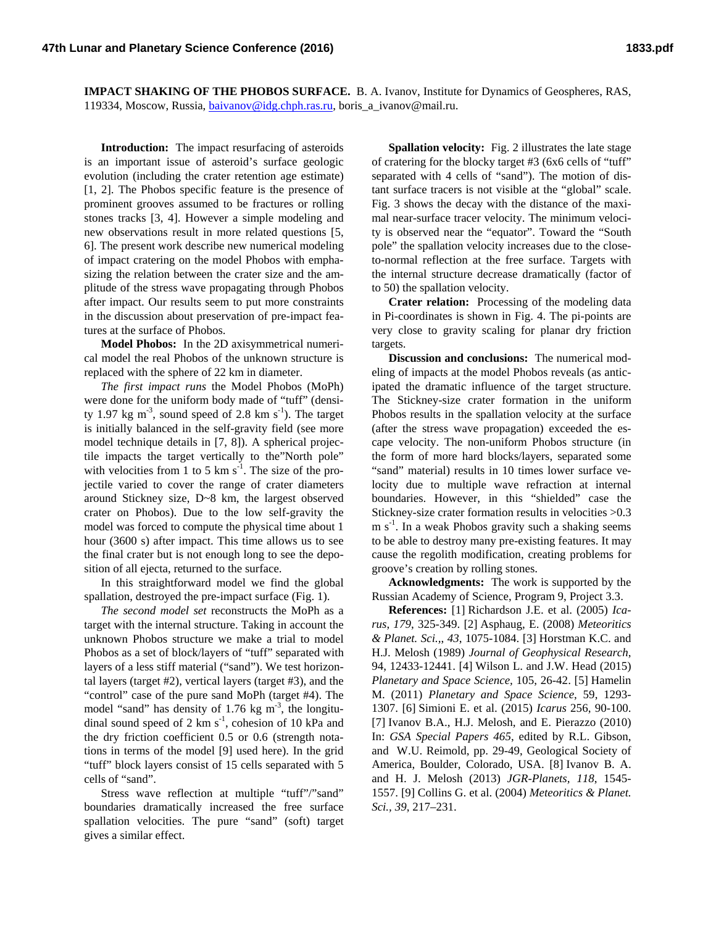**IMPACT SHAKING OF THE PHOBOS SURFACE.** B. A. Ivanov, Institute for Dynamics of Geospheres, RAS, 119334, Moscow, Russia, *baivanov@idg.chph.ras.ru*, boris\_a\_ivanov@mail.ru.

**Introduction:** The impact resurfacing of asteroids is an important issue of asteroid's surface geologic evolution (including the crater retention age estimate) [1, 2]. The Phobos specific feature is the presence of prominent grooves assumed to be fractures or rolling stones tracks [3, 4]. However a simple modeling and new observations result in more related questions [5, 6]. The present work describe new numerical modeling of impact cratering on the model Phobos with emphasizing the relation between the crater size and the amplitude of the stress wave propagating through Phobos after impact. Our results seem to put more constraints in the discussion about preservation of pre-impact features at the surface of Phobos.

**Model Phobos:** In the 2D axisymmetrical numerical model the real Phobos of the unknown structure is replaced with the sphere of 22 km in diameter.

*The first impact runs* the Model Phobos (MoPh) were done for the uniform body made of "tuff" (density 1.97 kg  $\text{m}^3$ , sound speed of 2.8 km s<sup>-1</sup>). The target is initially balanced in the self-gravity field (see more model technique details in [7, 8]). A spherical projectile impacts the target vertically to the"North pole" with velocities from 1 to 5 km  $s^{-1}$ . The size of the projectile varied to cover the range of crater diameters around Stickney size, D~8 km, the largest observed crater on Phobos). Due to the low self-gravity the model was forced to compute the physical time about 1 hour (3600 s) after impact. This time allows us to see the final crater but is not enough long to see the deposition of all ejecta, returned to the surface.

In this straightforward model we find the global spallation, destroyed the pre-impact surface (Fig. 1).

*The second model set* reconstructs the MoPh as a target with the internal structure. Taking in account the unknown Phobos structure we make a trial to model Phobos as a set of block/layers of "tuff" separated with layers of a less stiff material ("sand"). We test horizontal layers (target #2), vertical layers (target #3), and the "control" case of the pure sand MoPh (target #4). The model "sand" has density of 1.76 kg  $m<sup>-3</sup>$ , the longitudinal sound speed of 2 km  $s^{-1}$ , cohesion of 10 kPa and the dry friction coefficient 0.5 or 0.6 (strength notations in terms of the model [9] used here). In the grid "tuff" block layers consist of 15 cells separated with 5 cells of "sand".

Stress wave reflection at multiple "tuff"/"sand" boundaries dramatically increased the free surface spallation velocities. The pure "sand" (soft) target gives a similar effect.

**Spallation velocity:** Fig. 2 illustrates the late stage of cratering for the blocky target #3 (6x6 cells of "tuff" separated with 4 cells of "sand"). The motion of distant surface tracers is not visible at the "global" scale. Fig. 3 shows the decay with the distance of the maximal near-surface tracer velocity. The minimum velocity is observed near the "equator". Toward the "South pole" the spallation velocity increases due to the closeto-normal reflection at the free surface. Targets with the internal structure decrease dramatically (factor of to 50) the spallation velocity.

**Crater relation:** Processing of the modeling data in Pi-coordinates is shown in Fig. 4. The pi-points are very close to gravity scaling for planar dry friction targets.

**Discussion and conclusions:** The numerical modeling of impacts at the model Phobos reveals (as anticipated the dramatic influence of the target structure. The Stickney-size crater formation in the uniform Phobos results in the spallation velocity at the surface (after the stress wave propagation) exceeded the escape velocity. The non-uniform Phobos structure (in the form of more hard blocks/layers, separated some "sand" material) results in 10 times lower surface velocity due to multiple wave refraction at internal boundaries. However, in this "shielded" case the Stickney-size crater formation results in velocities >0.3 m  $s^{-1}$ . In a weak Phobos gravity such a shaking seems to be able to destroy many pre-existing features. It may cause the regolith modification, creating problems for groove's creation by rolling stones.

**Acknowledgments:** The work is supported by the Russian Academy of Science, Program 9, Project 3.3.

**References:** [1] Richardson J.E. et al. (2005) *Icarus*, *179*, 325-349. [2] Asphaug, E. (2008) *Meteoritics & Planet. Sci.,*, *43*, 1075-1084. [3] Horstman K.C. and H.J. Melosh (1989) *Journal of Geophysical Research*, 94, 12433-12441. [4] Wilson L. and J.W. Head (2015) *Planetary and Space Science,* 105, 26-42. [5] Hamelin M. (2011) *Planetary and Space Science*, 59, 1293- 1307. [6] Simioni E. et al. (2015) *Icarus* 256, 90-100. [7] Ivanov B.A., H.J. Melosh, and E. Pierazzo (2010) In: *GSA Special Papers 465*, edited by R.L. Gibson, and W.U. Reimold, pp. 29-49, Geological Society of America, Boulder, Colorado, USA. [8] Ivanov B. A. and H. J. Melosh (2013) *JGR-Planets, 118*, 1545- 1557. [9] Collins G. et al. (2004) *Meteoritics & Planet. Sci., 39*, 217–231.